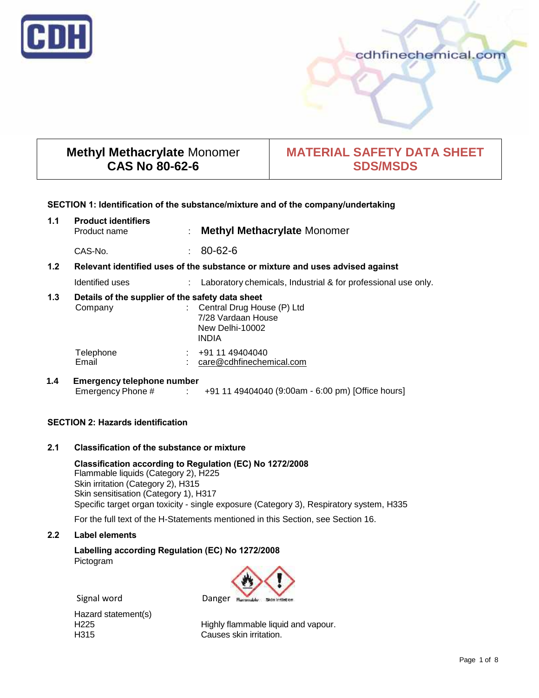

# cdhfinechemical.com

# **Methyl Methacrylate** Monomer **CAS No 80-62-6**

# **MATERIAL SAFETY DATA SHEET SDS/MSDS**

# **SECTION 1: Identification of the substance/mixture and of the company/undertaking**

| 1.1                                                                                  | <b>Product identifiers</b><br>Product name                  | ÷  | <b>Methyl Methacrylate Monomer</b>                                                  |
|--------------------------------------------------------------------------------------|-------------------------------------------------------------|----|-------------------------------------------------------------------------------------|
|                                                                                      | CAS-No.                                                     | t. | $80 - 62 - 6$                                                                       |
| 1.2<br>Relevant identified uses of the substance or mixture and uses advised against |                                                             |    |                                                                                     |
|                                                                                      | Identified uses                                             |    | Laboratory chemicals, Industrial & for professional use only.                       |
| 1.3                                                                                  | Details of the supplier of the safety data sheet<br>Company |    | Central Drug House (P) Ltd<br>7/28 Vardaan House<br>New Delhi-10002<br><b>INDIA</b> |
|                                                                                      | Telephone<br>Email                                          |    | +91 11 49404040<br>care@cdhfinechemical.com                                         |
| 1.4                                                                                  | <b>Emergency telephone number</b><br>Emergency Phone #      |    | : +91 11 49404040 (9:00am - 6:00 pm) [Office hours]                                 |

# **SECTION 2: Hazards identification**

# **2.1 Classification of the substance or mixture**

**Classification according to Regulation (EC) No 1272/2008** Flammable liquids (Category 2), H225 Skin irritation (Category 2), H315 Skin sensitisation (Category 1), H317 Specific target organ toxicity - single exposure (Category 3), Respiratory system, H335

For the full text of the H-Statements mentioned in this Section, see Section 16.

# **2.2 Label elements**

**Labelling according Regulation (EC) No 1272/2008** Pictogram



Signal word Danger Ru

Hazard statement(s)<br>H225

H225 Highly flammable liquid and vapour.<br>H315 H315 H315 Causes skin irritation.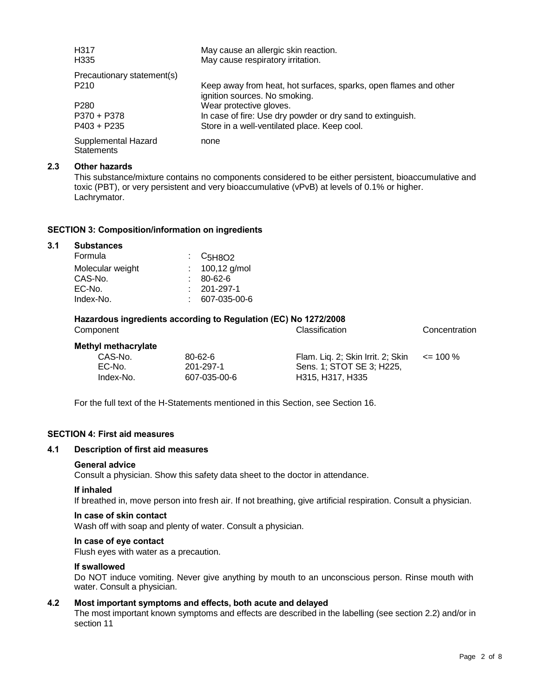| H317<br>H <sub>335</sub>                 | May cause an allergic skin reaction.<br>May cause respiratory irritation.                         |
|------------------------------------------|---------------------------------------------------------------------------------------------------|
| Precautionary statement(s)               |                                                                                                   |
| P <sub>210</sub>                         | Keep away from heat, hot surfaces, sparks, open flames and other<br>ignition sources. No smoking. |
| P <sub>280</sub>                         | Wear protective gloves.                                                                           |
| P370 + P378                              | In case of fire: Use dry powder or dry sand to extinguish.                                        |
| $P403 + P235$                            | Store in a well-ventilated place. Keep cool.                                                      |
| Supplemental Hazard<br><b>Statements</b> | none                                                                                              |

## **2.3 Other hazards**

This substance/mixture contains no components considered to be either persistent, bioaccumulative and toxic (PBT), or very persistent and very bioaccumulative (vPvB) at levels of 0.1% or higher. Lachrymator.

## **SECTION 3: Composition/information on ingredients**

| <b>Substances</b> |                                                            |
|-------------------|------------------------------------------------------------|
| Formula           | $\frac{1}{2}$ C <sub>5</sub> H <sub>8</sub> O <sub>2</sub> |
| Molecular weight  | : $100,12$ g/mol                                           |
| CAS-No.           | 80-62-6                                                    |
| EC-No.            | $: 201 - 297 - 1$                                          |
| Index-No.         | 607-035-00-6                                               |
|                   |                                                            |

# **Hazardous ingredients according to Regulation (EC) No 1272/2008**

| Component |                            |               | <b>Classification</b>             | Concentration |  |
|-----------|----------------------------|---------------|-----------------------------------|---------------|--|
|           | <b>Methyl methacrylate</b> |               |                                   |               |  |
|           | CAS-No.                    | $80 - 62 - 6$ | Flam. Lig. 2; Skin Irrit. 2; Skin | $\leq$ 100 %  |  |
|           | EC-No.                     | 201-297-1     | Sens. 1: STOT SE 3: H225.         |               |  |
|           | Index-No.                  | 607-035-00-6  | H315, H317, H335                  |               |  |
|           |                            |               |                                   |               |  |

For the full text of the H-Statements mentioned in this Section, see Section 16.

# **SECTION 4: First aid measures**

## **4.1 Description of first aid measures**

#### **General advice**

Consult a physician. Show this safety data sheet to the doctor in attendance.

#### **If inhaled**

If breathed in, move person into fresh air. If not breathing, give artificial respiration. Consult a physician.

## **In case of skin contact**

Wash off with soap and plenty of water. Consult a physician.

#### **In case of eye contact**

Flush eyes with water as a precaution.

#### **If swallowed**

Do NOT induce vomiting. Never give anything by mouth to an unconscious person. Rinse mouth with water. Consult a physician.

## **4.2 Most important symptoms and effects, both acute and delayed**

The most important known symptoms and effects are described in the labelling (see section 2.2) and/or in section 11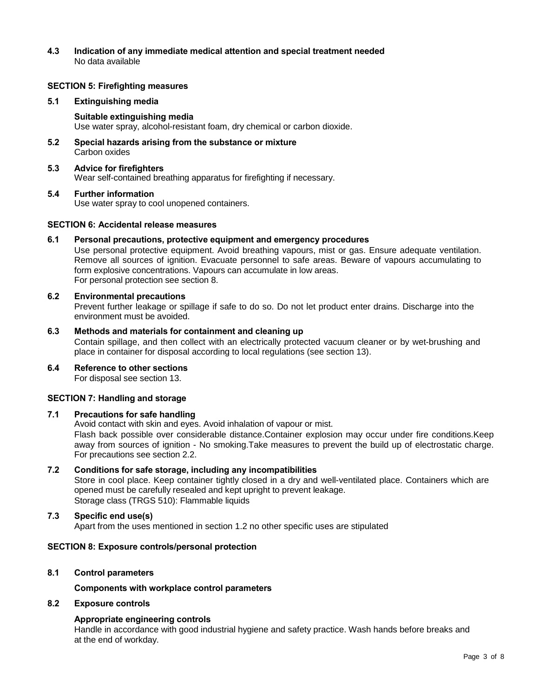# **4.3 Indication of any immediate medical attention and special treatment needed** No data available

## **SECTION 5: Firefighting measures**

# **5.1 Extinguishing media**

## **Suitable extinguishing media**

Use water spray, alcohol-resistant foam, dry chemical or carbon dioxide.

**5.2 Special hazards arising from the substance or mixture** Carbon oxides

# **5.3 Advice for firefighters**

Wear self-contained breathing apparatus for firefighting if necessary.

## **5.4 Further information**

Use water spray to cool unopened containers.

## **SECTION 6: Accidental release measures**

## **6.1 Personal precautions, protective equipment and emergency procedures**

Use personal protective equipment. Avoid breathing vapours, mist or gas. Ensure adequate ventilation. Remove all sources of ignition. Evacuate personnel to safe areas. Beware of vapours accumulating to form explosive concentrations. Vapours can accumulate in low areas. For personal protection see section 8.

## **6.2 Environmental precautions**

Prevent further leakage or spillage if safe to do so. Do not let product enter drains. Discharge into the environment must be avoided.

# **6.3 Methods and materials for containment and cleaning up**

Contain spillage, and then collect with an electrically protected vacuum cleaner or by wet-brushing and place in container for disposal according to local regulations (see section 13).

# **6.4 Reference to other sections**

For disposal see section 13.

# **SECTION 7: Handling and storage**

# **7.1 Precautions for safe handling**

Avoid contact with skin and eyes. Avoid inhalation of vapour or mist. Flash back possible over considerable distance.Container explosion may occur under fire conditions.Keep away from sources of ignition - No smoking.Take measures to prevent the build up of electrostatic charge. For precautions see section 2.2.

# **7.2 Conditions for safe storage, including any incompatibilities**

Store in cool place. Keep container tightly closed in a dry and well-ventilated place. Containers which are opened must be carefully resealed and kept upright to prevent leakage. Storage class (TRGS 510): Flammable liquids

# **7.3 Specific end use(s)**

Apart from the uses mentioned in section 1.2 no other specific uses are stipulated

# **SECTION 8: Exposure controls/personal protection**

# **8.1 Control parameters**

#### **Components with workplace control parameters**

#### **8.2 Exposure controls**

# **Appropriate engineering controls**

Handle in accordance with good industrial hygiene and safety practice. Wash hands before breaks and at the end of workday.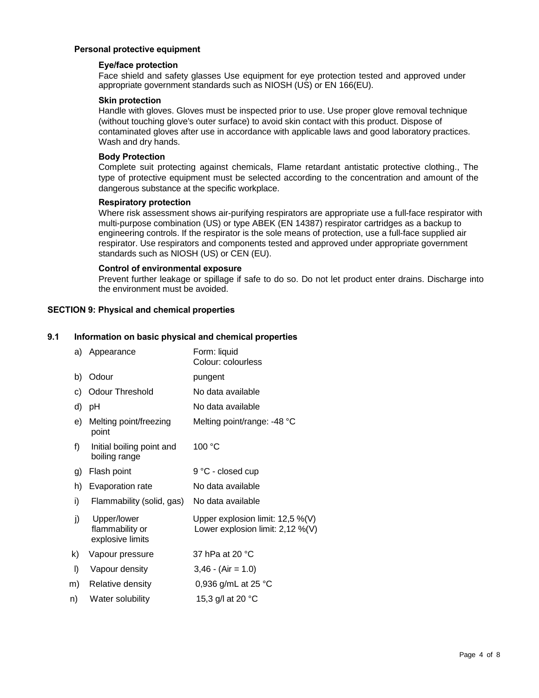# **Personal protective equipment**

# **Eye/face protection**

Face shield and safety glasses Use equipment for eye protection tested and approved under appropriate government standards such as NIOSH (US) or EN 166(EU).

# **Skin protection**

Handle with gloves. Gloves must be inspected prior to use. Use proper glove removal technique (without touching glove's outer surface) to avoid skin contact with this product. Dispose of contaminated gloves after use in accordance with applicable laws and good laboratory practices. Wash and dry hands.

# **Body Protection**

Complete suit protecting against chemicals, Flame retardant antistatic protective clothing., The type of protective equipment must be selected according to the concentration and amount of the dangerous substance at the specific workplace.

# **Respiratory protection**

Where risk assessment shows air-purifying respirators are appropriate use a full-face respirator with multi-purpose combination (US) or type ABEK (EN 14387) respirator cartridges as a backup to engineering controls. If the respirator is the sole means of protection, use a full-face supplied air respirator. Use respirators and components tested and approved under appropriate government standards such as NIOSH (US) or CEN (EU).

# **Control of environmental exposure**

Prevent further leakage or spillage if safe to do so. Do not let product enter drains. Discharge into the environment must be avoided.

# **SECTION 9: Physical and chemical properties**

# **9.1 Information on basic physical and chemical properties**

| a) | Appearance                                         | Form: liquid<br>Colour: colourless                                      |
|----|----------------------------------------------------|-------------------------------------------------------------------------|
| b) | Odour                                              | pungent                                                                 |
| C) | <b>Odour Threshold</b>                             | No data available                                                       |
| d) | рH                                                 | No data available                                                       |
| e) | Melting point/freezing<br>point                    | Melting point/range: -48 °C                                             |
| f) | Initial boiling point and<br>boiling range         | 100 °C                                                                  |
| g) | Flash point                                        | 9 °C - closed cup                                                       |
| h) | Evaporation rate                                   | No data available                                                       |
| i) | Flammability (solid, gas)                          | No data available                                                       |
| j) | Upper/lower<br>flammability or<br>explosive limits | Upper explosion limit: 12,5 %(V)<br>Lower explosion limit: $2,12\%$ (V) |
| k) | Vapour pressure                                    | 37 hPa at 20 °C                                                         |
| I) | Vapour density                                     | $3,46 - (Air = 1.0)$                                                    |
| m) | Relative density                                   | 0,936 g/mL at 25 $^{\circ}$ C                                           |
| n) | Water solubility                                   | 15,3 g/l at 20 °C                                                       |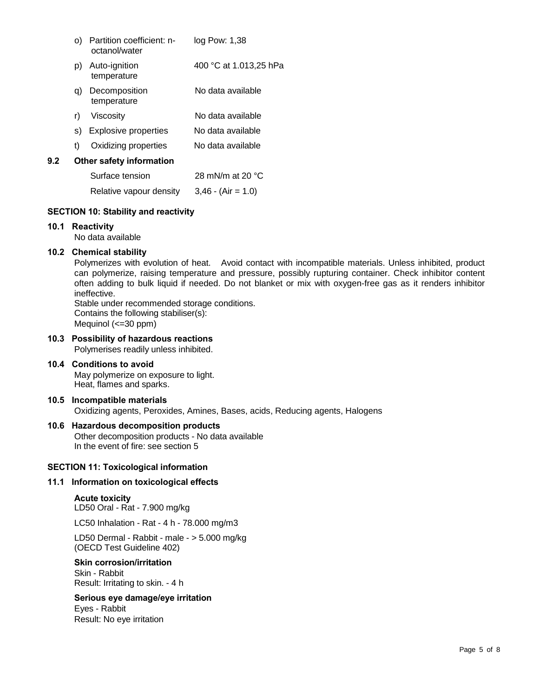|     | O)                       | Partition coefficient: n-<br>octanol/water | log Pow: 1,38             |
|-----|--------------------------|--------------------------------------------|---------------------------|
|     | p)                       | Auto-ignition<br>temperature               | 400 °C at 1.013,25 hPa    |
|     | q)                       | Decomposition<br>temperature               | No data available         |
|     | r)                       | Viscositv                                  | No data available         |
|     | S)                       | Explosive properties                       | No data available         |
|     | t)                       | Oxidizing properties                       | No data available         |
| 9.2 | Other safety information |                                            |                           |
|     |                          | Surface tension                            | 28 mN/m at 20 $\degree$ C |
|     |                          | Relative vapour density                    | $3,46 - (Air = 1.0)$      |

# **SECTION 10: Stability and reactivity**

## **10.1 Reactivity**

No data available

# **10.2 Chemical stability**

Polymerizes with evolution of heat. Avoid contact with incompatible materials. Unless inhibited, product can polymerize, raising temperature and pressure, possibly rupturing container. Check inhibitor content often adding to bulk liquid if needed. Do not blanket or mix with oxygen-free gas as it renders inhibitor ineffective.

Stable under recommended storage conditions. Contains the following stabiliser(s): Mequinol (<=30 ppm)

# **10.3 Possibility of hazardous reactions**

Polymerises readily unless inhibited.

**10.4 Conditions to avoid** May polymerize on exposure to light. Heat, flames and sparks.

# **10.5 Incompatible materials** Oxidizing agents, Peroxides, Amines, Bases, acids, Reducing agents, Halogens

# **10.6 Hazardous decomposition products**

Other decomposition products - No data available In the event of fire: see section 5

#### **SECTION 11: Toxicological information**

## **11.1 Information on toxicological effects**

#### **Acute toxicity**

LD50 Oral - Rat - 7.900 mg/kg

LC50 Inhalation - Rat - 4 h - 78.000 mg/m3

LD50 Dermal - Rabbit - male - > 5.000 mg/kg (OECD Test Guideline 402)

## **Skin corrosion/irritation**

Skin - Rabbit Result: Irritating to skin. - 4 h

# **Serious eye damage/eye irritation**

Eyes - Rabbit Result: No eye irritation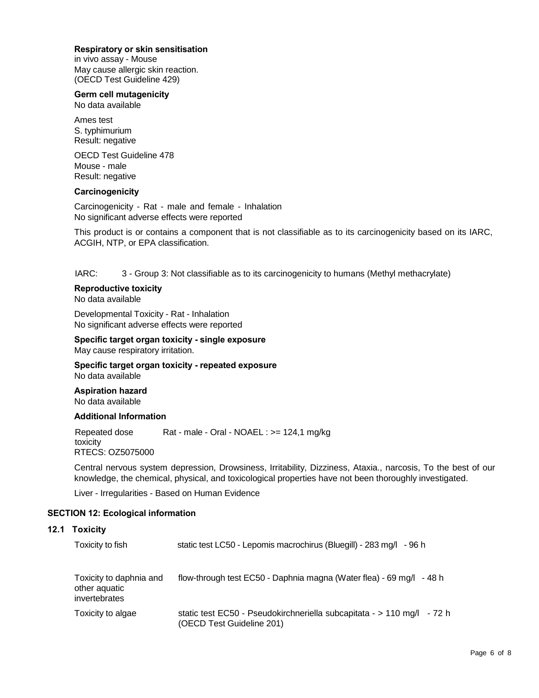# **Respiratory or skin sensitisation**

in vivo assay - Mouse May cause allergic skin reaction. (OECD Test Guideline 429)

# **Germ cell mutagenicity**

No data available

Ames test S. typhimurium Result: negative

OECD Test Guideline 478 Mouse - male Result: negative

# **Carcinogenicity**

Carcinogenicity - Rat - male and female - Inhalation No significant adverse effects were reported

This product is or contains a component that is not classifiable as to its carcinogenicity based on its IARC, ACGIH, NTP, or EPA classification.

IARC: 3 - Group 3: Not classifiable as to its carcinogenicity to humans (Methyl methacrylate)

#### **Reproductive toxicity** No data available

Developmental Toxicity - Rat - Inhalation No significant adverse effects were reported

## **Specific target organ toxicity - single exposure** May cause respiratory irritation.

**Specific target organ toxicity - repeated exposure** No data available

# **Aspiration hazard** No data available

# **Additional Information**

Repeated dose Rat - male - Oral - NOAEL : >= 124,1 mg/kg toxicity RTECS: OZ5075000

Central nervous system depression, Drowsiness, Irritability, Dizziness, Ataxia., narcosis, To the best of our knowledge, the chemical, physical, and toxicological properties have not been thoroughly investigated.

Liver - Irregularities - Based on Human Evidence

# **SECTION 12: Ecological information**

# **12.1 Toxicity**

| Toxicity to fish                                          | static test LC50 - Lepomis macrochirus (Bluegill) - 283 mg/l<br>- 96 h                                |
|-----------------------------------------------------------|-------------------------------------------------------------------------------------------------------|
| Toxicity to daphnia and<br>other aquatic<br>invertebrates | flow-through test EC50 - Daphnia magna (Water flea) - 69 mg/l - 48 h                                  |
| Toxicity to algae                                         | static test EC50 - Pseudokirchneriella subcapitata - $> 110$ mg/l - 72 h<br>(OECD Test Guideline 201) |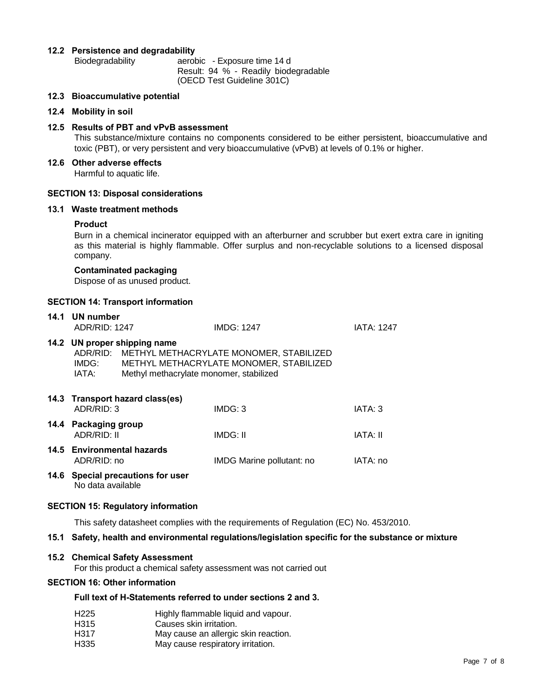# **12.2 Persistence and degradability**

Biodegradability aerobic - Exposure time 14 d Result: 94 % - Readily biodegradable (OECD Test Guideline 301C)

**12.3 Bioaccumulative potential**

## **12.4 Mobility in soil**

## **12.5 Results of PBT and vPvB assessment**

This substance/mixture contains no components considered to be either persistent, bioaccumulative and toxic (PBT), or very persistent and very bioaccumulative (vPvB) at levels of 0.1% or higher.

**12.6 Other adverse effects**

Harmful to aquatic life.

## **SECTION 13: Disposal considerations**

## **13.1 Waste treatment methods**

## **Product**

Burn in a chemical incinerator equipped with an afterburner and scrubber but exert extra care in igniting as this material is highly flammable. Offer surplus and non-recyclable solutions to a licensed disposal company.

## **Contaminated packaging**

Dispose of as unused product.

## **SECTION 14: Transport information**

| 14.1 UN number<br>ADR/RID: 1247                                                                                                                                                          |                                   | <b>IMDG: 1247</b>         | <b>IATA: 1247</b> |
|------------------------------------------------------------------------------------------------------------------------------------------------------------------------------------------|-----------------------------------|---------------------------|-------------------|
| 14.2 UN proper shipping name<br>ADR/RID: METHYL METHACRYLATE MONOMER, STABILIZED<br>IMDG:<br>METHYL METHACRYLATE MONOMER, STABILIZED<br>IATA:<br>Methyl methacrylate monomer, stabilized |                                   |                           |                   |
| ADR/RID: 3                                                                                                                                                                               | 14.3 Transport hazard class(es)   | IMDG: 3                   | IATA: 3           |
| 14.4 Packaging group<br><b>ADR/RID: II</b>                                                                                                                                               |                                   | IMDG: II                  | IATA: II          |
| 14.5 Environmental hazards<br>ADR/RID: no                                                                                                                                                |                                   | IMDG Marine pollutant: no | IATA: no          |
| No data available                                                                                                                                                                        | 14.6 Special precautions for user |                           |                   |

## **SECTION 15: Regulatory information**

This safety datasheet complies with the requirements of Regulation (EC) No. 453/2010.

# **15.1 Safety, health and environmental regulations/legislation specific for the substance or mixture**

# **15.2 Chemical Safety Assessment**

For this product a chemical safety assessment was not carried out

# **SECTION 16: Other information**

# **Full text of H-Statements referred to under sections 2 and 3.**

- H225 Highly flammable liquid and vapour.
- H315 Causes skin irritation.
- H317 May cause an allergic skin reaction.
- H335 May cause respiratory irritation.